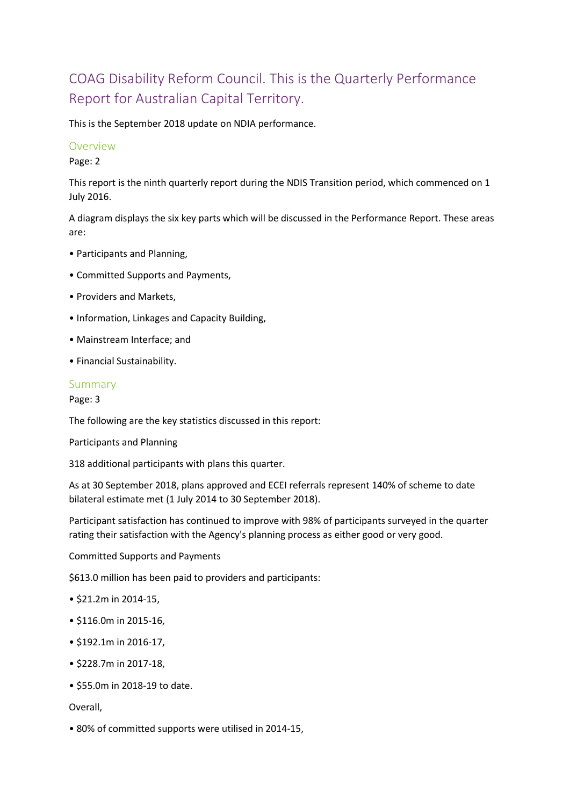# COAG Disability Reform Council. This is the Quarterly Performance Report for Australian Capital Territory.

This is the September 2018 update on NDIA performance.

#### Overview

Page: 2

This report is the ninth quarterly report during the NDIS Transition period, which commenced on 1 July 2016.

A diagram displays the six key parts which will be discussed in the Performance Report. These areas are:

- Participants and Planning,
- Committed Supports and Payments,
- Providers and Markets,
- Information, Linkages and Capacity Building,
- Mainstream Interface; and
- Financial Sustainability.

## Summary

Page: 3

The following are the key statistics discussed in this report:

Participants and Planning

318 additional participants with plans this quarter.

As at 30 September 2018, plans approved and ECEI referrals represent 140% of scheme to date bilateral estimate met (1 July 2014 to 30 September 2018).

Participant satisfaction has continued to improve with 98% of participants surveyed in the quarter rating their satisfaction with the Agency's planning process as either good or very good.

Committed Supports and Payments

\$613.0 million has been paid to providers and participants:

- \$21.2m in 2014-15,
- \$116.0m in 2015-16,
- \$192.1m in 2016-17,
- \$228.7m in 2017-18,
- \$55.0m in 2018-19 to date.

Overall,

• 80% of committed supports were utilised in 2014-15,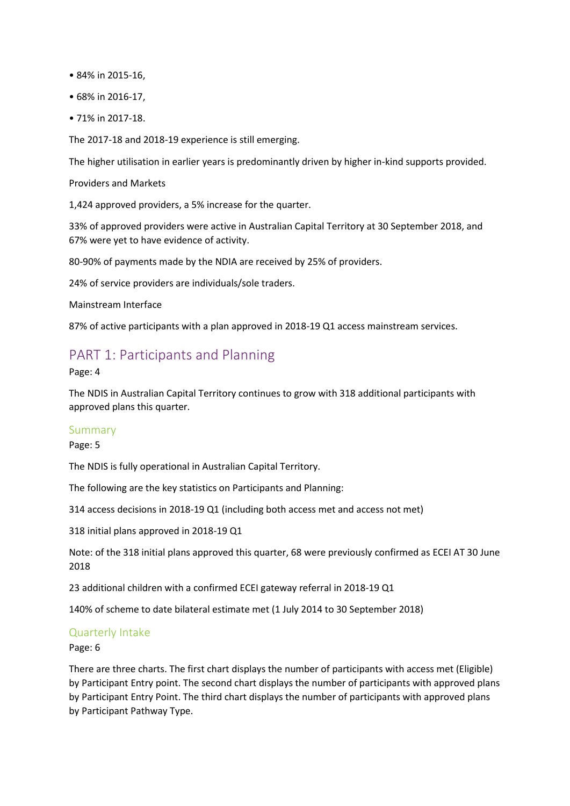- 84% in 2015-16,
- 68% in 2016-17,
- 71% in 2017-18.

The 2017-18 and 2018-19 experience is still emerging.

The higher utilisation in earlier years is predominantly driven by higher in-kind supports provided.

Providers and Markets

1,424 approved providers, a 5% increase for the quarter.

33% of approved providers were active in Australian Capital Territory at 30 September 2018, and 67% were yet to have evidence of activity.

80-90% of payments made by the NDIA are received by 25% of providers.

24% of service providers are individuals/sole traders.

Mainstream Interface

87% of active participants with a plan approved in 2018-19 Q1 access mainstream services.

# PART 1: Participants and Planning

Page: 4

The NDIS in Australian Capital Territory continues to grow with 318 additional participants with approved plans this quarter.

#### Summary

Page: 5

The NDIS is fully operational in Australian Capital Territory.

The following are the key statistics on Participants and Planning:

314 access decisions in 2018-19 Q1 (including both access met and access not met)

318 initial plans approved in 2018-19 Q1

Note: of the 318 initial plans approved this quarter, 68 were previously confirmed as ECEI AT 30 June 2018

23 additional children with a confirmed ECEI gateway referral in 2018-19 Q1

140% of scheme to date bilateral estimate met (1 July 2014 to 30 September 2018)

#### Quarterly Intake

Page: 6

There are three charts. The first chart displays the number of participants with access met (Eligible) by Participant Entry point. The second chart displays the number of participants with approved plans by Participant Entry Point. The third chart displays the number of participants with approved plans by Participant Pathway Type.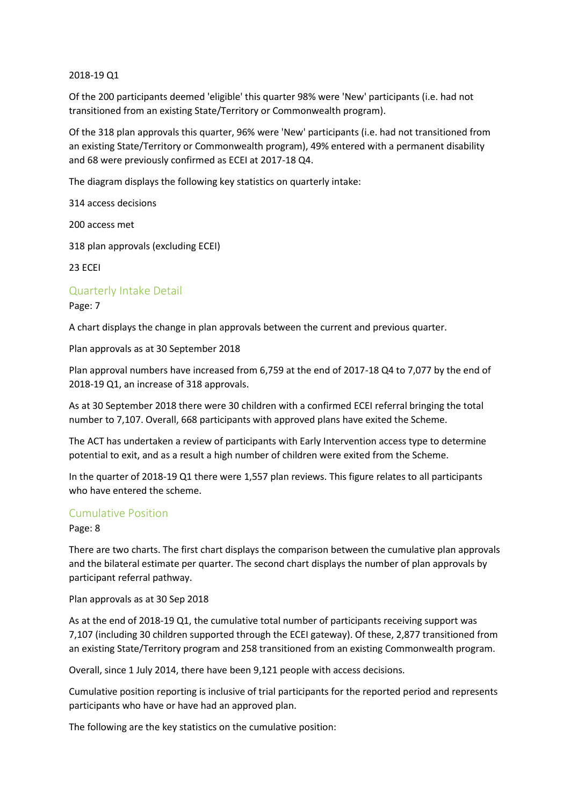2018-19 Q1

Of the 200 participants deemed 'eligible' this quarter 98% were 'New' participants (i.e. had not transitioned from an existing State/Territory or Commonwealth program).

Of the 318 plan approvals this quarter, 96% were 'New' participants (i.e. had not transitioned from an existing State/Territory or Commonwealth program), 49% entered with a permanent disability and 68 were previously confirmed as ECEI at 2017-18 Q4.

The diagram displays the following key statistics on quarterly intake:

314 access decisions

200 access met

318 plan approvals (excluding ECEI)

23 ECEI

#### Quarterly Intake Detail

#### Page: 7

A chart displays the change in plan approvals between the current and previous quarter.

Plan approvals as at 30 September 2018

Plan approval numbers have increased from 6,759 at the end of 2017-18 Q4 to 7,077 by the end of 2018-19 Q1, an increase of 318 approvals.

As at 30 September 2018 there were 30 children with a confirmed ECEI referral bringing the total number to 7,107. Overall, 668 participants with approved plans have exited the Scheme.

The ACT has undertaken a review of participants with Early Intervention access type to determine potential to exit, and as a result a high number of children were exited from the Scheme.

In the quarter of 2018-19 Q1 there were 1,557 plan reviews. This figure relates to all participants who have entered the scheme.

#### Cumulative Position

Page: 8

There are two charts. The first chart displays the comparison between the cumulative plan approvals and the bilateral estimate per quarter. The second chart displays the number of plan approvals by participant referral pathway.

Plan approvals as at 30 Sep 2018

As at the end of 2018-19 Q1, the cumulative total number of participants receiving support was 7,107 (including 30 children supported through the ECEI gateway). Of these, 2,877 transitioned from an existing State/Territory program and 258 transitioned from an existing Commonwealth program.

Overall, since 1 July 2014, there have been 9,121 people with access decisions.

Cumulative position reporting is inclusive of trial participants for the reported period and represents participants who have or have had an approved plan.

The following are the key statistics on the cumulative position: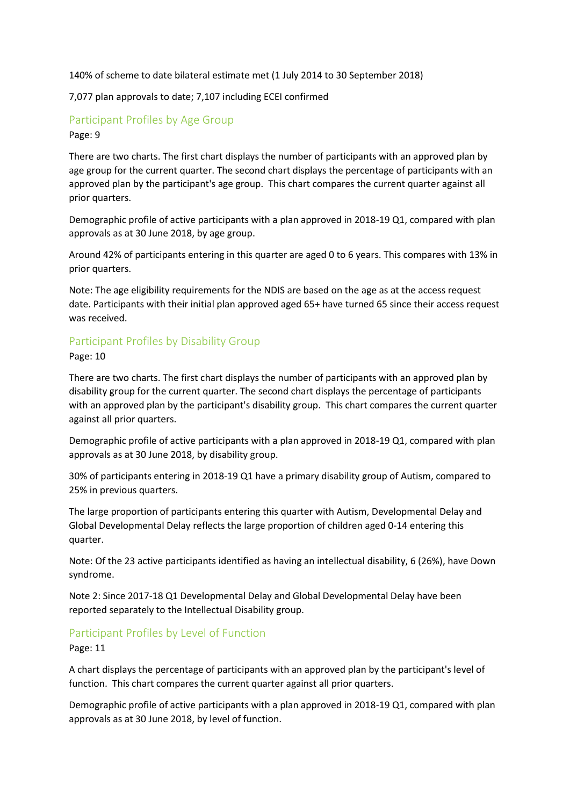140% of scheme to date bilateral estimate met (1 July 2014 to 30 September 2018)

7,077 plan approvals to date; 7,107 including ECEI confirmed

## Participant Profiles by Age Group Page: 9

There are two charts. The first chart displays the number of participants with an approved plan by age group for the current quarter. The second chart displays the percentage of participants with an approved plan by the participant's age group. This chart compares the current quarter against all prior quarters.

Demographic profile of active participants with a plan approved in 2018-19 Q1, compared with plan approvals as at 30 June 2018, by age group.

Around 42% of participants entering in this quarter are aged 0 to 6 years. This compares with 13% in prior quarters.

Note: The age eligibility requirements for the NDIS are based on the age as at the access request date. Participants with their initial plan approved aged 65+ have turned 65 since their access request was received.

# Participant Profiles by Disability Group

Page: 10

There are two charts. The first chart displays the number of participants with an approved plan by disability group for the current quarter. The second chart displays the percentage of participants with an approved plan by the participant's disability group. This chart compares the current quarter against all prior quarters.

Demographic profile of active participants with a plan approved in 2018-19 Q1, compared with plan approvals as at 30 June 2018, by disability group.

30% of participants entering in 2018-19 Q1 have a primary disability group of Autism, compared to 25% in previous quarters.

The large proportion of participants entering this quarter with Autism, Developmental Delay and Global Developmental Delay reflects the large proportion of children aged 0-14 entering this quarter.

Note: Of the 23 active participants identified as having an intellectual disability, 6 (26%), have Down syndrome.

Note 2: Since 2017-18 Q1 Developmental Delay and Global Developmental Delay have been reported separately to the Intellectual Disability group.

## Participant Profiles by Level of Function

Page: 11

A chart displays the percentage of participants with an approved plan by the participant's level of function. This chart compares the current quarter against all prior quarters.

Demographic profile of active participants with a plan approved in 2018-19 Q1, compared with plan approvals as at 30 June 2018, by level of function.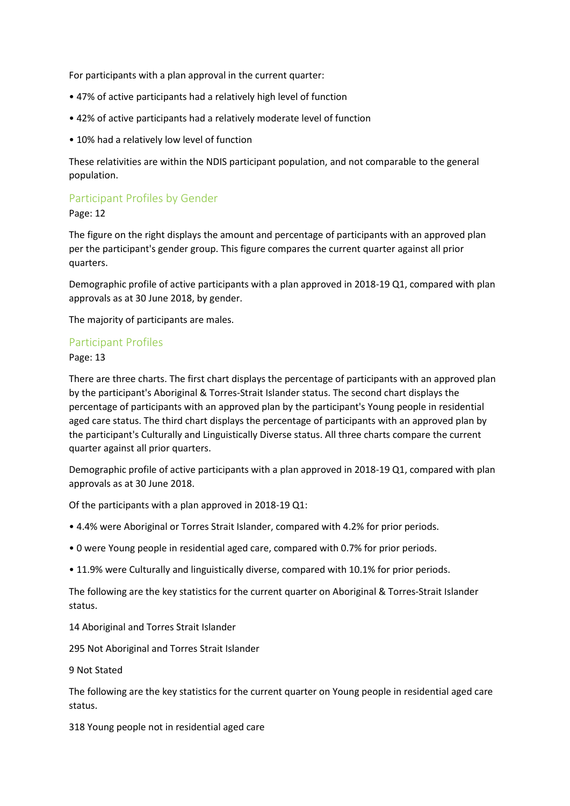For participants with a plan approval in the current quarter:

- 47% of active participants had a relatively high level of function
- 42% of active participants had a relatively moderate level of function
- 10% had a relatively low level of function

These relativities are within the NDIS participant population, and not comparable to the general population.

# Participant Profiles by Gender

Page: 12

The figure on the right displays the amount and percentage of participants with an approved plan per the participant's gender group. This figure compares the current quarter against all prior quarters.

Demographic profile of active participants with a plan approved in 2018-19 Q1, compared with plan approvals as at 30 June 2018, by gender.

The majority of participants are males.

#### Participant Profiles

Page: 13

There are three charts. The first chart displays the percentage of participants with an approved plan by the participant's Aboriginal & Torres-Strait Islander status. The second chart displays the percentage of participants with an approved plan by the participant's Young people in residential aged care status. The third chart displays the percentage of participants with an approved plan by the participant's Culturally and Linguistically Diverse status. All three charts compare the current quarter against all prior quarters.

Demographic profile of active participants with a plan approved in 2018-19 Q1, compared with plan approvals as at 30 June 2018.

Of the participants with a plan approved in 2018-19 Q1:

- 4.4% were Aboriginal or Torres Strait Islander, compared with 4.2% for prior periods.
- 0 were Young people in residential aged care, compared with 0.7% for prior periods.
- 11.9% were Culturally and linguistically diverse, compared with 10.1% for prior periods.

The following are the key statistics for the current quarter on Aboriginal & Torres-Strait Islander status.

14 Aboriginal and Torres Strait Islander

295 Not Aboriginal and Torres Strait Islander

9 Not Stated

The following are the key statistics for the current quarter on Young people in residential aged care status.

318 Young people not in residential aged care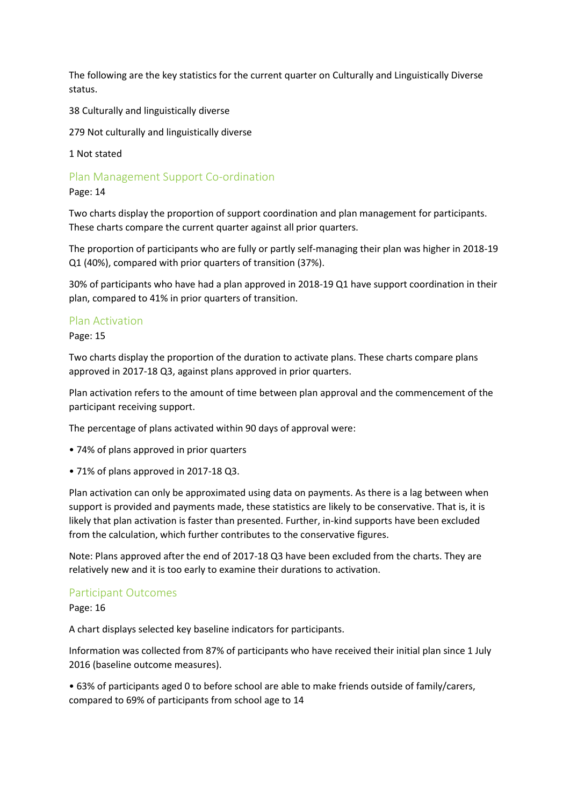The following are the key statistics for the current quarter on Culturally and Linguistically Diverse status.

38 Culturally and linguistically diverse

279 Not culturally and linguistically diverse

1 Not stated

Plan Management Support Co-ordination

Page: 14

Two charts display the proportion of support coordination and plan management for participants. These charts compare the current quarter against all prior quarters.

The proportion of participants who are fully or partly self-managing their plan was higher in 2018-19 Q1 (40%), compared with prior quarters of transition (37%).

30% of participants who have had a plan approved in 2018-19 Q1 have support coordination in their plan, compared to 41% in prior quarters of transition.

#### Plan Activation

Page: 15

Two charts display the proportion of the duration to activate plans. These charts compare plans approved in 2017-18 Q3, against plans approved in prior quarters.

Plan activation refers to the amount of time between plan approval and the commencement of the participant receiving support.

The percentage of plans activated within 90 days of approval were:

- 74% of plans approved in prior quarters
- 71% of plans approved in 2017-18 Q3.

Plan activation can only be approximated using data on payments. As there is a lag between when support is provided and payments made, these statistics are likely to be conservative. That is, it is likely that plan activation is faster than presented. Further, in-kind supports have been excluded from the calculation, which further contributes to the conservative figures.

Note: Plans approved after the end of 2017-18 Q3 have been excluded from the charts. They are relatively new and it is too early to examine their durations to activation.

#### Participant Outcomes

Page: 16

A chart displays selected key baseline indicators for participants.

Information was collected from 87% of participants who have received their initial plan since 1 July 2016 (baseline outcome measures).

• 63% of participants aged 0 to before school are able to make friends outside of family/carers, compared to 69% of participants from school age to 14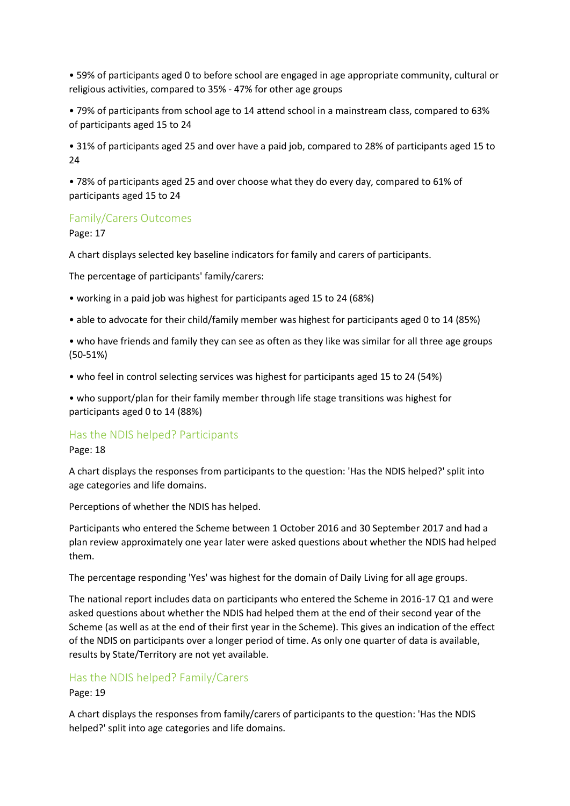• 59% of participants aged 0 to before school are engaged in age appropriate community, cultural or religious activities, compared to 35% - 47% for other age groups

• 79% of participants from school age to 14 attend school in a mainstream class, compared to 63% of participants aged 15 to 24

• 31% of participants aged 25 and over have a paid job, compared to 28% of participants aged 15 to 24

• 78% of participants aged 25 and over choose what they do every day, compared to 61% of participants aged 15 to 24

#### Family/Carers Outcomes

Page: 17

A chart displays selected key baseline indicators for family and carers of participants.

The percentage of participants' family/carers:

- working in a paid job was highest for participants aged 15 to 24 (68%)
- able to advocate for their child/family member was highest for participants aged 0 to 14 (85%)
- who have friends and family they can see as often as they like was similar for all three age groups (50-51%)
- who feel in control selecting services was highest for participants aged 15 to 24 (54%)

• who support/plan for their family member through life stage transitions was highest for participants aged 0 to 14 (88%)

#### Has the NDIS helped? Participants

#### Page: 18

A chart displays the responses from participants to the question: 'Has the NDIS helped?' split into age categories and life domains.

Perceptions of whether the NDIS has helped.

Participants who entered the Scheme between 1 October 2016 and 30 September 2017 and had a plan review approximately one year later were asked questions about whether the NDIS had helped them.

The percentage responding 'Yes' was highest for the domain of Daily Living for all age groups.

The national report includes data on participants who entered the Scheme in 2016-17 Q1 and were asked questions about whether the NDIS had helped them at the end of their second year of the Scheme (as well as at the end of their first year in the Scheme). This gives an indication of the effect of the NDIS on participants over a longer period of time. As only one quarter of data is available, results by State/Territory are not yet available.

#### Has the NDIS helped? Family/Carers

Page: 19

A chart displays the responses from family/carers of participants to the question: 'Has the NDIS helped?' split into age categories and life domains.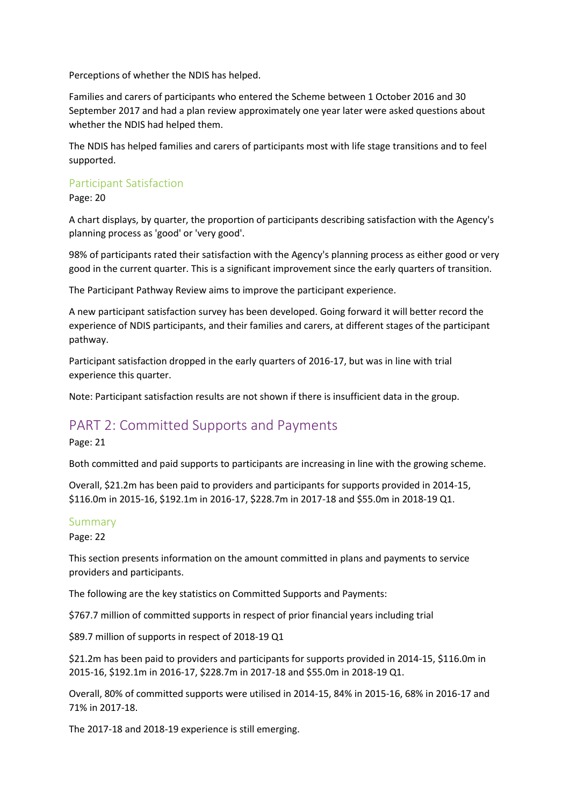Perceptions of whether the NDIS has helped.

Families and carers of participants who entered the Scheme between 1 October 2016 and 30 September 2017 and had a plan review approximately one year later were asked questions about whether the NDIS had helped them.

The NDIS has helped families and carers of participants most with life stage transitions and to feel supported.

#### Participant Satisfaction

Page: 20

A chart displays, by quarter, the proportion of participants describing satisfaction with the Agency's planning process as 'good' or 'very good'.

98% of participants rated their satisfaction with the Agency's planning process as either good or very good in the current quarter. This is a significant improvement since the early quarters of transition.

The Participant Pathway Review aims to improve the participant experience.

A new participant satisfaction survey has been developed. Going forward it will better record the experience of NDIS participants, and their families and carers, at different stages of the participant pathway.

Participant satisfaction dropped in the early quarters of 2016-17, but was in line with trial experience this quarter.

Note: Participant satisfaction results are not shown if there is insufficient data in the group.

# PART 2: Committed Supports and Payments

Page: 21

Both committed and paid supports to participants are increasing in line with the growing scheme.

Overall, \$21.2m has been paid to providers and participants for supports provided in 2014-15, \$116.0m in 2015-16, \$192.1m in 2016-17, \$228.7m in 2017-18 and \$55.0m in 2018-19 Q1.

#### Summary

Page: 22

This section presents information on the amount committed in plans and payments to service providers and participants.

The following are the key statistics on Committed Supports and Payments:

\$767.7 million of committed supports in respect of prior financial years including trial

\$89.7 million of supports in respect of 2018-19 Q1

\$21.2m has been paid to providers and participants for supports provided in 2014-15, \$116.0m in 2015-16, \$192.1m in 2016-17, \$228.7m in 2017-18 and \$55.0m in 2018-19 Q1.

Overall, 80% of committed supports were utilised in 2014-15, 84% in 2015-16, 68% in 2016-17 and 71% in 2017-18.

The 2017-18 and 2018-19 experience is still emerging.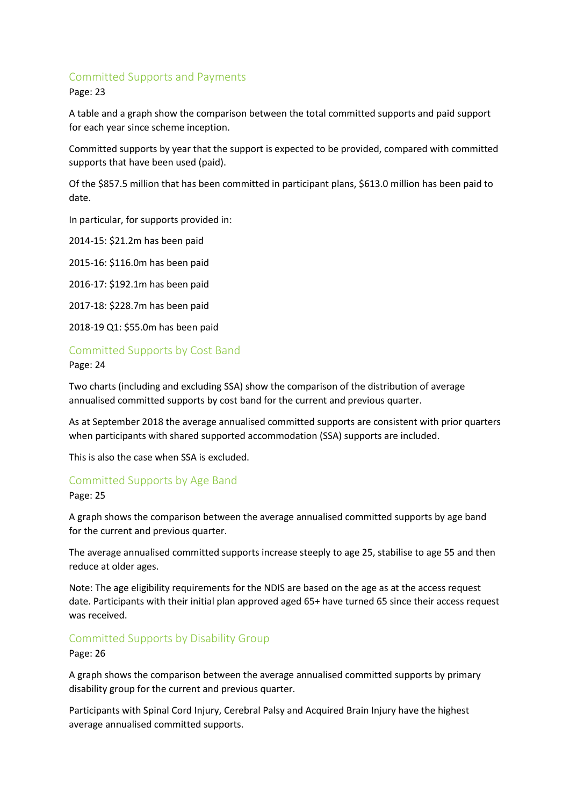# Committed Supports and Payments

Page: 23

A table and a graph show the comparison between the total committed supports and paid support for each year since scheme inception.

Committed supports by year that the support is expected to be provided, compared with committed supports that have been used (paid).

Of the \$857.5 million that has been committed in participant plans, \$613.0 million has been paid to date.

In particular, for supports provided in:

2014-15: \$21.2m has been paid

2015-16: \$116.0m has been paid

2016-17: \$192.1m has been paid

2017-18: \$228.7m has been paid

2018-19 Q1: \$55.0m has been paid

## Committed Supports by Cost Band

Page: 24

Two charts (including and excluding SSA) show the comparison of the distribution of average annualised committed supports by cost band for the current and previous quarter.

As at September 2018 the average annualised committed supports are consistent with prior quarters when participants with shared supported accommodation (SSA) supports are included.

This is also the case when SSA is excluded.

## Committed Supports by Age Band

Page: 25

A graph shows the comparison between the average annualised committed supports by age band for the current and previous quarter.

The average annualised committed supports increase steeply to age 25, stabilise to age 55 and then reduce at older ages.

Note: The age eligibility requirements for the NDIS are based on the age as at the access request date. Participants with their initial plan approved aged 65+ have turned 65 since their access request was received.

#### Committed Supports by Disability Group

Page: 26

A graph shows the comparison between the average annualised committed supports by primary disability group for the current and previous quarter.

Participants with Spinal Cord Injury, Cerebral Palsy and Acquired Brain Injury have the highest average annualised committed supports.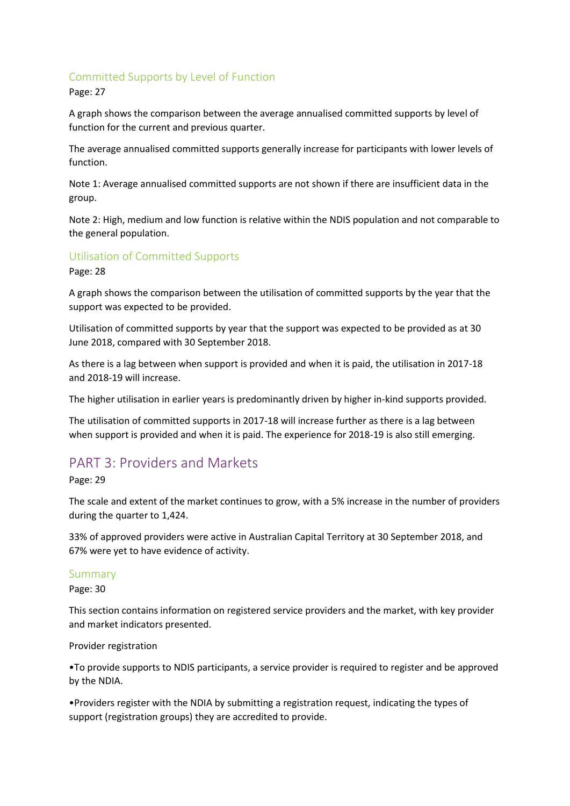# Committed Supports by Level of Function

Page: 27

A graph shows the comparison between the average annualised committed supports by level of function for the current and previous quarter.

The average annualised committed supports generally increase for participants with lower levels of function.

Note 1: Average annualised committed supports are not shown if there are insufficient data in the group.

Note 2: High, medium and low function is relative within the NDIS population and not comparable to the general population.

# Utilisation of Committed Supports

Page: 28

A graph shows the comparison between the utilisation of committed supports by the year that the support was expected to be provided.

Utilisation of committed supports by year that the support was expected to be provided as at 30 June 2018, compared with 30 September 2018.

As there is a lag between when support is provided and when it is paid, the utilisation in 2017-18 and 2018-19 will increase.

The higher utilisation in earlier years is predominantly driven by higher in-kind supports provided.

The utilisation of committed supports in 2017-18 will increase further as there is a lag between when support is provided and when it is paid. The experience for 2018-19 is also still emerging.

# PART 3: Providers and Markets

Page: 29

The scale and extent of the market continues to grow, with a 5% increase in the number of providers during the quarter to 1,424.

33% of approved providers were active in Australian Capital Territory at 30 September 2018, and 67% were yet to have evidence of activity.

#### Summary

Page: 30

This section contains information on registered service providers and the market, with key provider and market indicators presented.

Provider registration

•To provide supports to NDIS participants, a service provider is required to register and be approved by the NDIA.

•Providers register with the NDIA by submitting a registration request, indicating the types of support (registration groups) they are accredited to provide.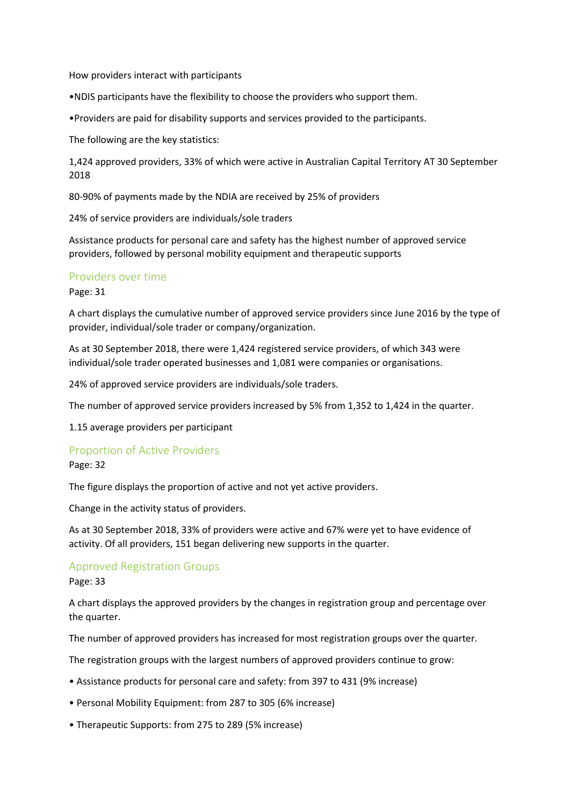How providers interact with participants

•NDIS participants have the flexibility to choose the providers who support them.

•Providers are paid for disability supports and services provided to the participants.

The following are the key statistics:

1,424 approved providers, 33% of which were active in Australian Capital Territory AT 30 September 2018

80-90% of payments made by the NDIA are received by 25% of providers

24% of service providers are individuals/sole traders

Assistance products for personal care and safety has the highest number of approved service providers, followed by personal mobility equipment and therapeutic supports

#### Providers over time

Page: 31

A chart displays the cumulative number of approved service providers since June 2016 by the type of provider, individual/sole trader or company/organization.

As at 30 September 2018, there were 1,424 registered service providers, of which 343 were individual/sole trader operated businesses and 1,081 were companies or organisations.

24% of approved service providers are individuals/sole traders.

The number of approved service providers increased by 5% from 1,352 to 1,424 in the quarter.

1.15 average providers per participant

#### Proportion of Active Providers

#### Page: 32

The figure displays the proportion of active and not yet active providers.

Change in the activity status of providers.

As at 30 September 2018, 33% of providers were active and 67% were yet to have evidence of activity. Of all providers, 151 began delivering new supports in the quarter.

#### Approved Registration Groups

Page: 33

A chart displays the approved providers by the changes in registration group and percentage over the quarter.

The number of approved providers has increased for most registration groups over the quarter.

The registration groups with the largest numbers of approved providers continue to grow:

- Assistance products for personal care and safety: from 397 to 431 (9% increase)
- Personal Mobility Equipment: from 287 to 305 (6% increase)
- Therapeutic Supports: from 275 to 289 (5% increase)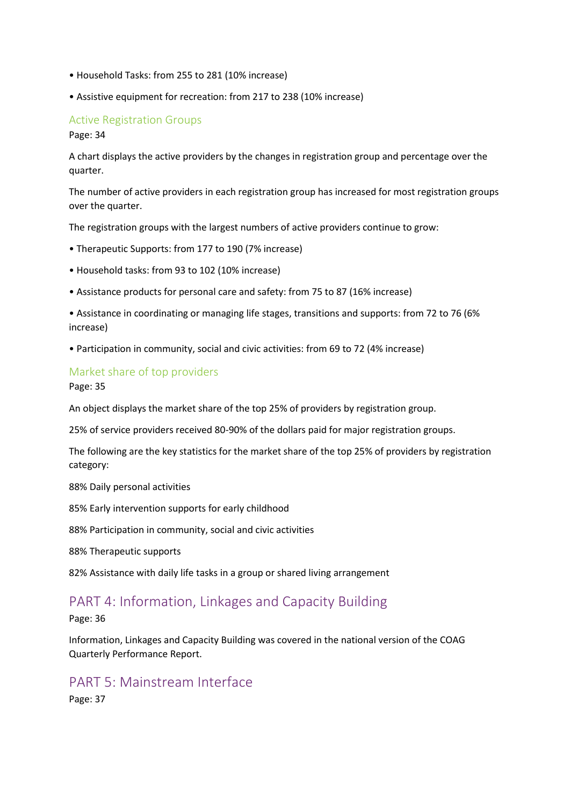- Household Tasks: from 255 to 281 (10% increase)
- Assistive equipment for recreation: from 217 to 238 (10% increase)

# Active Registration Groups

Page: 34

A chart displays the active providers by the changes in registration group and percentage over the quarter.

The number of active providers in each registration group has increased for most registration groups over the quarter.

The registration groups with the largest numbers of active providers continue to grow:

- Therapeutic Supports: from 177 to 190 (7% increase)
- Household tasks: from 93 to 102 (10% increase)
- Assistance products for personal care and safety: from 75 to 87 (16% increase)
- Assistance in coordinating or managing life stages, transitions and supports: from 72 to 76 (6% increase)
- Participation in community, social and civic activities: from 69 to 72 (4% increase)

## Market share of top providers

Page: 35

An object displays the market share of the top 25% of providers by registration group.

25% of service providers received 80-90% of the dollars paid for major registration groups.

The following are the key statistics for the market share of the top 25% of providers by registration category:

88% Daily personal activities

85% Early intervention supports for early childhood

88% Participation in community, social and civic activities

88% Therapeutic supports

82% Assistance with daily life tasks in a group or shared living arrangement

# PART 4: Information, Linkages and Capacity Building

Page: 36

Information, Linkages and Capacity Building was covered in the national version of the COAG Quarterly Performance Report.

# PART 5: Mainstream Interface

Page: 37